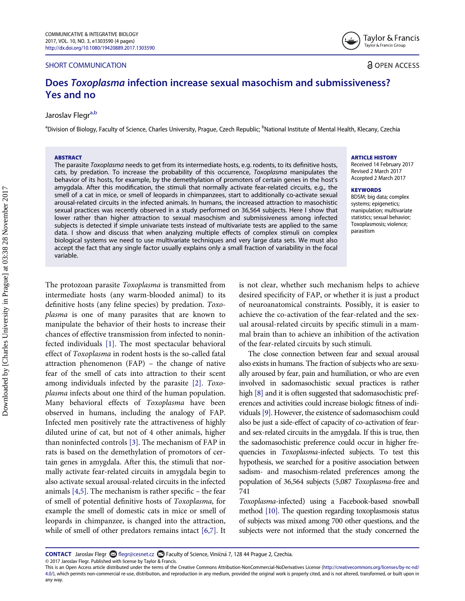### SHORT COMMUNICATION

Taylor & Francis Taylor & Francis Group

**a** OPEN ACCESS

# Does Toxoplasma infection increase sexual masochism and submissiveness? Yes and no

# Jaroslav Flegr<sup>a,b</sup>

<span id="page-0-0"></span><sup>a</sup>Division of Biology, Faculty of Science, Charles University, Prague, Czech Republic; <sup>b</sup>National Institute of Mental Health, Klecany, Czechia

### **ARSTRACT**

The parasite Toxoplasma needs to get from its intermediate hosts, e.g. rodents, to its definitive hosts, cats, by predation. To increase the probability of this occurrence, Toxoplasma manipulates the behavior of its hosts, for example, by the demethylation of promoters of certain genes in the host's amygdala. After this modification, the stimuli that normally activate fear-related circuits, e.g., the smell of a cat in mice, or smell of leopards in chimpanzees, start to additionally co-activate sexual arousal-related circuits in the infected animals. In humans, the increased attraction to masochistic sexual practices was recently observed in a study performed on 36,564 subjects. Here I show that lower rather than higher attraction to sexual masochism and submissiveness among infected subjects is detected if simple univariate tests instead of multivariate tests are applied to the same data. I show and discuss that when analyzing multiple effects of complex stimuli on complex biological systems we need to use multivariate techniques and very large data sets. We must also accept the fact that any single factor usually explains only a small fraction of variability in the focal variable.

#### **ARTICLE HISTORY**

Received 14 February 2017 Revised 2 March 2017 Accepted 2 March 2017

#### **KEYWORDS**

BDSM; big data; complex systems; epigenetics; manipulation; multivariate statistics; sexual behavior; Toxoplasmosis; violence; parasitism

The protozoan parasite Toxoplasma is transmitted from intermediate hosts (any warm-blooded animal) to its definitive hosts (any feline species) by predation. Toxoplasma is one of many parasites that are known to manipulate the behavior of their hosts to increase their chances of effective transmission from infected to noninfected individuals [\[1\]](#page-2-0). The most spectacular behavioral effect of Toxoplasma in rodent hosts is the so-called fatal attraction phenomenon (FAP) – the change of native fear of the smell of cats into attraction to their scent among individuals infected by the parasite [\[2\]](#page-2-1). Toxoplasma infects about one third of the human population. Many behavioral effects of Toxoplasma have been observed in humans, including the analogy of FAP. Infected men positively rate the attractiveness of highly diluted urine of cat, but not of 4 other animals, higher than noninfected controls [\[3\]](#page-2-2). The mechanism of FAP in rats is based on the demethylation of promotors of certain genes in amygdala. After this, the stimuli that normally activate fear-related circuits in amygdala begin to also activate sexual arousal-related circuits in the infected animals [\[4,5\]](#page-2-3). The mechanism is rather specific – the fear of smell of potential definitive hosts of Toxoplasma, for example the smell of domestic cats in mice or smell of leopards in chimpanzee, is changed into the attraction, while of smell of other predators remains intact [\[6,7\].](#page-2-4) It is not clear, whether such mechanism helps to achieve desired specificity of FAP, or whether it is just a product of neuroanatomical constraints. Possibly, it is easier to achieve the co-activation of the fear-related and the sexual arousal-related circuits by specific stimuli in a mammal brain than to achieve an inhibition of the activation of the fear-related circuits by such stimuli.

The close connection between fear and sexual arousal also exists in humans. The fraction of subjects who are sexually aroused by fear, pain and humiliation, or who are even involved in sadomasochistic sexual practices is rather high [\[8\]](#page-2-5) and it is often suggested that sadomasochistic preferences and activities could increase biologic fitness of individuals [\[9\].](#page-2-6) However, the existence of sadomasochism could also be just a side-effect of capacity of co-activation of fearand sex-related circuits in the amygdala. If this is true, then the sadomasochistic preference could occur in higher frequencies in Toxoplasma-infected subjects. To test this hypothesis, we searched for a positive association between sadism- and masochism-related preferences among the population of 36,564 subjects (5,087 Toxoplasma-free and 741

Toxoplasma-infected) using a Facebook-based snowball method [\[10\].](#page-2-7) The question regarding toxoplasmosis status of subjects was mixed among 700 other questions, and the subjects were not informed that the study concerned the

CONTACT Jaroslav Flegr Ø flegr@cesnet.cz ■ Faculty of Science, Viničná 7, 128 44 Prague 2, Czechia.

<sup>© 2017</sup> Jaroslav Flegr. Published with license by Taylor & Francis.<br>This is an Open Access article distributed under the terms of the Creative Commons Attribution-NonCommercial-NoDerivatives License (http://creativecommons. [4.0/\)](http://creativecommons.org/licenses/by-nc-nd/4.0/), which permits non-commercial re-use, distribution, and reproduction in any medium, provided the original work is properly cited, and is not altered, transformed, or built upon in any way.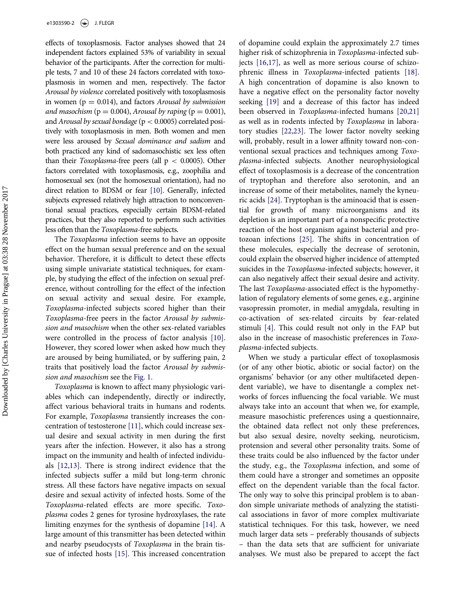effects of toxoplasmosis. Factor analyses showed that 24 independent factors explained 53% of variability in sexual behavior of the participants. After the correction for multiple tests, 7 and 10 of these 24 factors correlated with toxoplasmosis in women and men, respectively. The factor Arousal by violence correlated positively with toxoplasmosis in women ( $p = 0.014$ ), and factors Arousal by submission and masochism ( $p = 0.004$ ), Arousal by raping ( $p = 0.001$ ), and Arousal by sexual bondage ( $p < 0.0005$ ) correlated positively with toxoplasmosis in men. Both women and men were less aroused by Sexual dominance and sadism and both practiced any kind of sadomasochistic sex less often than their *Toxoplasma*-free peers (all  $p < 0.0005$ ). Other factors correlated with toxoplasmosis, e.g., zoophilia and homosexual sex (not the homosexual orientation), had no direct relation to BDSM or fear [\[10\]](#page-2-7). Generally, infected subjects expressed relatively high attraction to nonconventional sexual practices, especially certain BDSM-related practices, but they also reported to perform such activities less often than the Toxoplasma-free subjects.

The Toxoplasma infection seems to have an opposite effect on the human sexual preference and on the sexual behavior. Therefore, it is difficult to detect these effects using simple univariate statistical techniques, for example, by studying the effect of the infection on sexual preference, without controlling for the effect of the infection on sexual activity and sexual desire. For example, Toxoplasma-infected subjects scored higher than their Toxoplasma-free peers in the factor Arousal by submission and masochism when the other sex-related variables were controlled in the process of factor analysis [\[10\].](#page-2-7) However, they scored lower when asked how much they are aroused by being humiliated, or by suffering pain, 2 traits that positively load the factor Arousal by submission and masochism see the [Fig. 1.](#page-2-8)

Toxoplasma is known to affect many physiologic variables which can independently, directly or indirectly, affect various behavioral traits in humans and rodents. For example, Toxoplasma transiently increases the concentration of testosterone [\[11\],](#page-3-0) which could increase sexual desire and sexual activity in men during the first years after the infection. However, it also has a strong impact on the immunity and health of infected individuals [\[12,13\]](#page-3-1). There is strong indirect evidence that the infected subjects suffer a mild but long-term chronic stress. All these factors have negative impacts on sexual desire and sexual activity of infected hosts. Some of the Toxoplasma-related effects are more specific. Toxoplasma codes 2 genes for tyrosine hydroxylases, the rate limiting enzymes for the synthesis of dopamine [\[14\].](#page-3-2) A large amount of this transmitter has been detected within and nearby pseudocysts of Toxoplasma in the brain tissue of infected hosts [\[15\]](#page-3-3). This increased concentration of dopamine could explain the approximately 2.7 times higher risk of schizophrenia in Toxoplasma-infected subjects [\[16,17\],](#page-3-4) as well as more serious course of schizophrenic illness in Toxoplasma-infected patients [\[18\].](#page-3-5) A high concentration of dopamine is also known to have a negative effect on the personality factor novelty seeking [\[19\]](#page-3-6) and a decrease of this factor has indeed been observed in Toxoplasma-infected humans [\[20,21\]](#page-3-7) as well as in rodents infected by Toxoplasma in laboratory studies [\[22,23\]](#page-3-8). The lower factor novelty seeking will, probably, result in a lower affinity toward non-conventional sexual practices and techniques among Toxoplasma-infected subjects. Another neurophysiological effect of toxoplasmosis is a decrease of the concentration of tryptophan and therefore also serotonin, and an increase of some of their metabolites, namely the kyneuric acids [\[24\]](#page-3-9). Tryptophan is the aminoacid that is essential for growth of many microorganisms and its depletion is an important part of a nonspecific protective reaction of the host organism against bacterial and protozoan infections [\[25\]](#page-3-10). The shifts in concentration of these molecules, especially the decrease of serotonin, could explain the observed higher incidence of attempted suicides in the *Toxoplasma*-infected subjects; however, it can also negatively affect their sexual desire and activity. The last Toxoplasma-associated effect is the hypomethylation of regulatory elements of some genes, e.g., arginine vasopressin promoter, in medial amygdala, resulting in co-activation of sex-related circuits by fear-related stimuli [\[4\]](#page-2-3). This could result not only in the FAP but also in the increase of masochistic preferences in Toxoplasma-infected subjects.

When we study a particular effect of toxoplasmosis (or of any other biotic, abiotic or social factor) on the organisms' behavior (or any other multifaceted dependent variable), we have to disentangle a complex networks of forces influencing the focal variable. We must always take into an account that when we, for example, measure masochistic preferences using a questionnaire, the obtained data reflect not only these preferences, but also sexual desire, novelty seeking, neuroticism, protension and several other personality traits. Some of these traits could be also influenced by the factor under the study, e.g., the Toxoplasma infection, and some of them could have a stronger and sometimes an opposite effect on the dependent variable than the focal factor. The only way to solve this principal problem is to abandon simple univariate methods of analyzing the statistical associations in favor of more complex multivariate statistical techniques. For this task, however, we need much larger data sets – preferably thousands of subjects – than the data sets that are sufficient for univariate analyses. We must also be prepared to accept the fact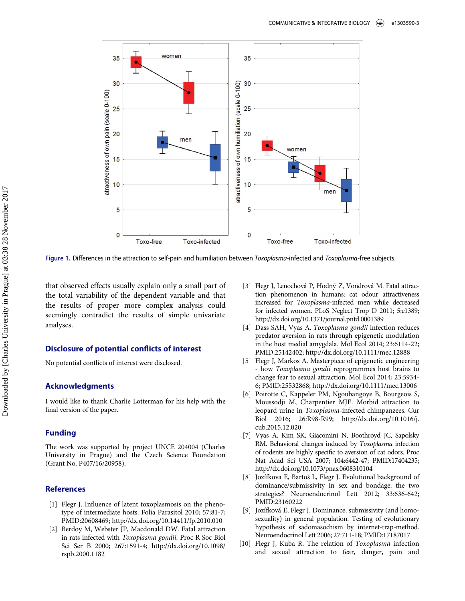<span id="page-2-8"></span>

Figure 1. Differences in the attraction to self-pain and humiliation between Toxoplasma-infected and Toxoplasma-free subjects.

<span id="page-2-2"></span>that observed effects usually explain only a small part of the total variability of the dependent variable and that the results of proper more complex analysis could seemingly contradict the results of simple univariate analyses.

## <span id="page-2-3"></span>Disclosure of potential conflicts of interest

No potential conflicts of interest were disclosed.

# <span id="page-2-4"></span>Acknowledgments

I would like to thank Charlie Lotterman for his help with the final version of the paper.

## Funding

The work was supported by project UNCE 204004 (Charles University in Prague) and the Czech Science Foundation (Grant No. P407/16/20958).

# <span id="page-2-5"></span><span id="page-2-0"></span>References

- <span id="page-2-6"></span>[1] Flegr J. Influence of latent toxoplasmosis on the phenotype of intermediate hosts. Folia Parasitol 2010; 57:81-7; PMID:[20608469; http://dx.doi.org/10.14411/fp.2010.010](http://dx.doi.org/10.14411/fp.2010.010)
- <span id="page-2-7"></span><span id="page-2-1"></span>[2] Berdoy M, Webster JP, Macdonald DW. Fatal attraction in rats infected with Toxoplasma gondii. Proc R Soc Biol Sci Ser B 2000; 267:1591-4; http://dx.doi.org/[10.1098/](http://dx.doi.org/10.1098/rspb.2000.1182) [rspb.2000.1182](http://dx.doi.org/10.1098/rspb.2000.1182)
- [3] Flegr J, Lenochová P, Hodný Z, Vondrová M. Fatal attraction phenomenon in humans: cat odour attractiveness increased for Toxoplasma-infected men while decreased for infected women. PLoS Neglect Trop D 2011; 5:e1389; http://dx.doi.org/[10.1371/journal.pntd.0001389](http://dx.doi.org/10.1371/journal.pntd.0001389)
- [4] Dass SAH, Vyas A. Toxoplasma gondii infection reduces predator aversion in rats through epigenetic modulation in the host medial amygdala. Mol Ecol 2014; 23:6114-22; PMID:[25142402; http://dx.doi.org/10.1111/mec.12888](http://dx.doi.org/10.1111/mec.12888)
- [5] Flegr J, Markos A. Masterpiece of epigenetic engineering - how Toxoplasma gondii reprogrammes host brains to change fear to sexual attraction. Mol Ecol 2014; 23:5934- 6; PMID:[25532868; http://dx.doi.org/10.1111/mec.13006](http://dx.doi.org/10.1111/mec.13006)
- [6] Poirotte C, Kappeler PM, Ngoubangoye B, Bourgeois S, Moussodji M, Charpentier MJE. Morbid attraction to leopard urine in Toxoplasma-infected chimpanzees. Cur Biol 2016; 26:R98-R99; http://dx.doi.org[/10.1016/j.](http://dx.doi.org/10.1016/j.cub.2015.12.020) [cub.2015.12.020](http://dx.doi.org/10.1016/j.cub.2015.12.020)
- [7] Vyas A, Kim SK, Giacomini N, Boothroyd JC, Sapolsky RM. Behavioral changes induced by Toxoplasma infection of rodents are highly specific to aversion of cat odors. Proc Nat Acad Sci USA 2007; 104:6442-47; PMID[:17404235;](http://dx.doi.org/17404235) <http://dx.doi.org/10.1073/pnas.0608310104>
- [8] Jozífkova E, Bartoš L, Flegr J. Evolutional background of dominance/submissivity in sex and bondage: the two strategies? Neuroendocrinol Lett 2012; 33:636-642; PMID:[23160222](http://dx.doi.org/23160222)
- [9] Jozífková E, Flegr J. Dominance, submissivity (and homosexuality) in general population. Testing of evolutionary hypothesis of sadomasochism by internet-trap-method. Neuroendocrinol Lett 2006; 27:711-18; PMID:[17187017](http://dx.doi.org/17187017)
- [10] Flegr J, Kuba R. The relation of Toxoplasma infection and sexual attraction to fear, danger, pain and